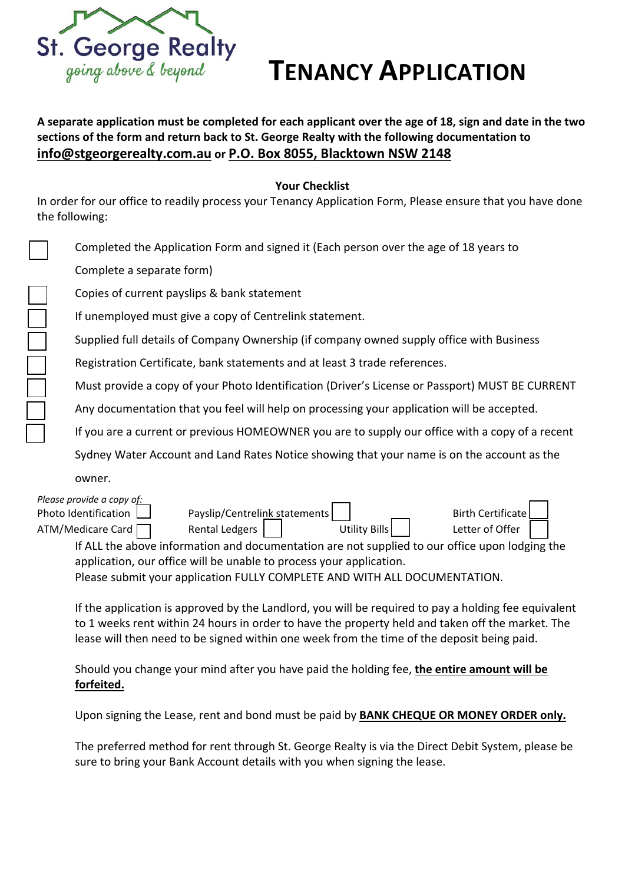

## **TENANCY APPLICATION**

A separate application must be completed for each applicant over the age of 18, sign and date in the two **sections of the form and return back to St. George Realty with the following documentation to info@stgeorgerealty.com.au or P.O. Box 8055, Blacktown NSW 2148**

**Your Checklist**

In order for our office to readily process your Tenancy Application Form, Please ensure that you have done the following:

| Completed the Application Form and signed it (Each person over the age of 18 years to                                                                                                   |
|-----------------------------------------------------------------------------------------------------------------------------------------------------------------------------------------|
| Complete a separate form)                                                                                                                                                               |
| Copies of current payslips & bank statement                                                                                                                                             |
| If unemployed must give a copy of Centrelink statement.                                                                                                                                 |
| Supplied full details of Company Ownership (if company owned supply office with Business                                                                                                |
| Registration Certificate, bank statements and at least 3 trade references.                                                                                                              |
| Must provide a copy of your Photo Identification (Driver's License or Passport) MUST BE CURRENT                                                                                         |
| Any documentation that you feel will help on processing your application will be accepted.                                                                                              |
| If you are a current or previous HOMEOWNER you are to supply our office with a copy of a recent                                                                                         |
| Sydney Water Account and Land Rates Notice showing that your name is on the account as the                                                                                              |
| owner.                                                                                                                                                                                  |
| Please provide a copy of:<br>Payslip/Centrelink statements<br><b>Birth Certificate</b><br>Photo Identification                                                                          |
| <b>Rental Ledgers</b><br><b>Utility Bills</b><br>ATM/Medicare Card<br>Letter of Offer<br>If ALL the above information and decumentation are not cunnlied to our effice unan ledging the |
|                                                                                                                                                                                         |

If ALL the above information and documentation are not supplied to our office upon lodging the application, our office will be unable to process your application. Please submit your application FULLY COMPLETE AND WITH ALL DOCUMENTATION.

If the application is approved by the Landlord, you will be required to pay a holding fee equivalent to 1 weeks rent within 24 hours in order to have the property held and taken off the market. The lease will then need to be signed within one week from the time of the deposit being paid.

Should you change your mind after you have paid the holding fee, **the entire amount will be forfeited.**

Upon signing the Lease, rent and bond must be paid by **BANK CHEQUE OR MONEY ORDER only.**

The preferred method for rent through St. George Realty is via the Direct Debit System, please be sure to bring your Bank Account details with you when signing the lease.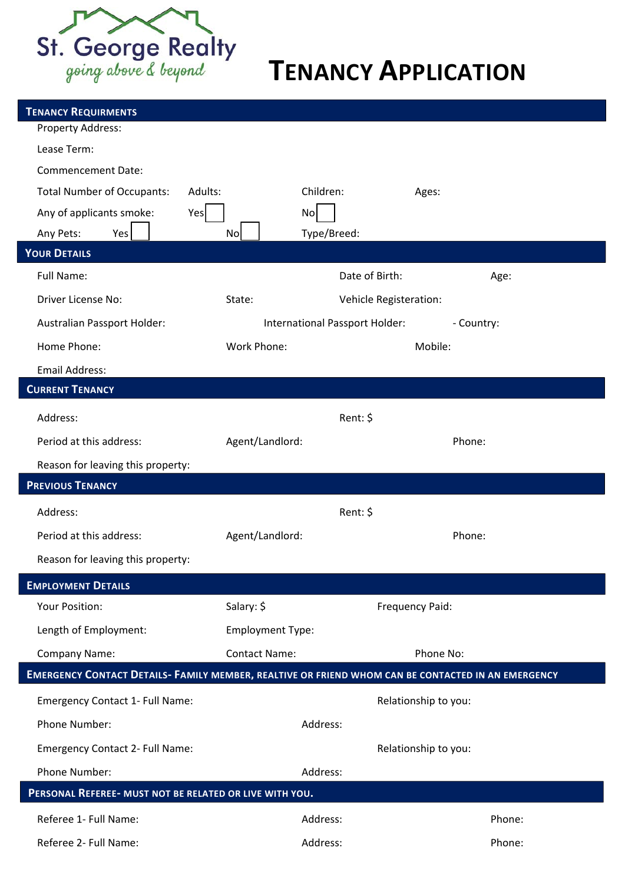

# **TENANCY APPLICATION**

| Property Address:                                                                                  |                                  |                      |
|----------------------------------------------------------------------------------------------------|----------------------------------|----------------------|
| Lease Term:                                                                                        |                                  |                      |
| <b>Commencement Date:</b>                                                                          |                                  |                      |
| <b>Total Number of Occupants:</b><br>Adults:                                                       | Children:                        | Ages:                |
| Any of applicants smoke:<br>Yes                                                                    | No                               |                      |
| Any Pets:<br>Yes                                                                                   | Type/Breed:<br>Nol               |                      |
| <b>YOUR DETAILS</b>                                                                                |                                  |                      |
| Full Name:                                                                                         | Date of Birth:                   | Age:                 |
| Driver License No:                                                                                 | State:<br>Vehicle Registeration: |                      |
| Australian Passport Holder:                                                                        | International Passport Holder:   | - Country:           |
| Home Phone:                                                                                        | Work Phone:                      | Mobile:              |
| <b>Email Address:</b>                                                                              |                                  |                      |
| <b>CURRENT TENANCY</b>                                                                             |                                  |                      |
| Address:                                                                                           | Rent: \$                         |                      |
| Period at this address:                                                                            | Agent/Landlord:                  | Phone:               |
| Reason for leaving this property:                                                                  |                                  |                      |
| <b>PREVIOUS TENANCY</b>                                                                            |                                  |                      |
| Address:                                                                                           | Rent: \$                         |                      |
| Period at this address:                                                                            | Agent/Landlord:                  | Phone:               |
| Reason for leaving this property:                                                                  |                                  |                      |
|                                                                                                    |                                  |                      |
| <b>EMPLOYMENT DETAILS</b>                                                                          |                                  |                      |
| <b>Your Position:</b>                                                                              | Salary: \$                       | Frequency Paid:      |
| Length of Employment:                                                                              | <b>Employment Type:</b>          |                      |
| <b>Company Name:</b>                                                                               | <b>Contact Name:</b>             | Phone No:            |
| EMERGENCY CONTACT DETAILS- FAMILY MEMBER, REALTIVE OR FRIEND WHOM CAN BE CONTACTED IN AN EMERGENCY |                                  |                      |
| Emergency Contact 1- Full Name:                                                                    |                                  | Relationship to you: |
| Phone Number:                                                                                      | Address:                         |                      |
| <b>Emergency Contact 2- Full Name:</b>                                                             |                                  | Relationship to you: |
| Phone Number:                                                                                      | Address:                         |                      |
| PERSONAL REFEREE- MUST NOT BE RELATED OR LIVE WITH YOU.                                            |                                  |                      |
| Referee 1- Full Name:                                                                              | Address:                         | Phone:               |